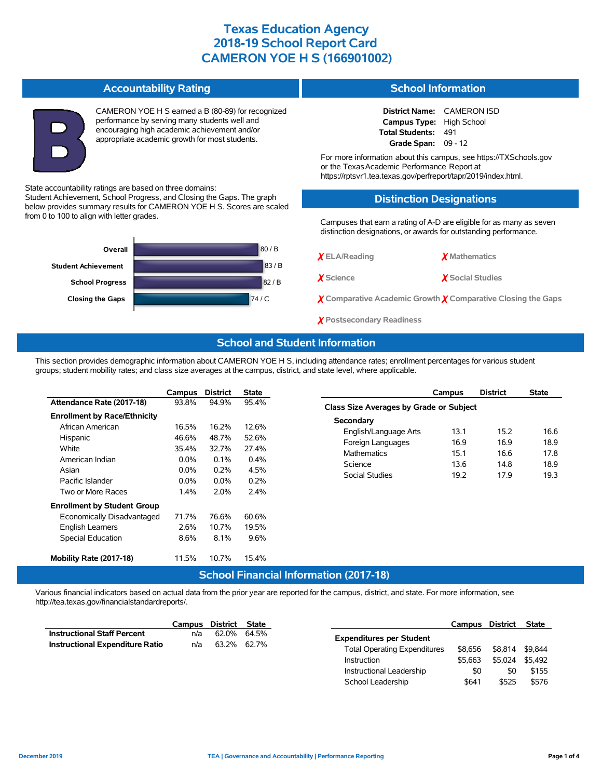#### **Accountability Rating**

Student Achievement, School Progress, and Closing the Gaps. The graph below provides summary results for CAMERON YOE H S. Scores are scaled

State accountability ratings are based on three domains:

from 0 to 100 to align with letter grades.



CAMERON YOE H S earned a B (80-89) for recognized performance by serving many students well and encouraging high academic achievement and/or appropriate academic growth for most students.

### **School Information**

**District Name:** CAMERON ISD **Campus Type:** High School **Total Students:** 491 **Grade Span:** 09 - 12

For more information about this campus, see https://TXSchools.gov or the TexasAcademic Performance Report at https://rptsvr1.tea.texas.gov/perfreport/tapr/2019/index.html.

### **Distinction Designations**

Campuses that earn a rating of A-D are eligible for as many as seven distinction designations, or awards for outstanding performance.

| Overall                    | 80/B |
|----------------------------|------|
| <b>Student Achievement</b> | 83/B |
| <b>School Progress</b>     | 82/B |
| <b>Closing the Gaps</b>    | 74/C |
|                            |      |

✗ **ELA/Reading** ✗ **Mathematics**

✗ **Science** ✗ **Social Studies**

✗ **Comparative Academic Growth** ✗ **Comparative Closing the Gaps**

✗ **Postsecondary Readiness**

### **School and Student Information**

This section provides demographic information about CAMERON YOE H S, including attendance rates; enrollment percentages for various student groups; student mobility rates; and class size averages at the campus, district, and state level, where applicable.

|                                     | Campus  | <b>District</b>        | <b>State</b> |
|-------------------------------------|---------|------------------------|--------------|
| Attendance Rate (2017-18)           | 93.8%   | 94.9%                  | 95.4%        |
| <b>Enrollment by Race/Ethnicity</b> |         |                        |              |
| African American                    | 16.5%   | 16.2%                  | 12.6%        |
| Hispanic                            | 46.6%   | 48.7%                  | 52.6%        |
| White                               | 35.4%   | 32.7%                  | 27.4%        |
| American Indian                     | $0.0\%$ | $0.1\%$                | $0.4\%$      |
| Asian                               | $0.0\%$ | $0.2\%$                | 4.5%         |
| Pacific Islander                    | $0.0\%$ | $0.0\%$                | 0.2%         |
| Two or More Races                   | $1.4\%$ | 2.0%                   | 2.4%         |
| <b>Enrollment by Student Group</b>  |         |                        |              |
| Economically Disadvantaged          | 71.7%   | 76.6%                  | 60.6%        |
| <b>English Learners</b>             | 2.6%    | 10.7%                  | 19.5%        |
| <b>Special Education</b>            | 8.6%    | 8.1%                   | 9.6%         |
|                                     |         |                        |              |
| Mobility Rate (2017-18)             | 11.5%   | 10.7%                  | 15.4%        |
|                                     |         | e de la completa de la |              |

|                                         | Campus | <b>District</b> | <b>State</b> |  |  |  |  |  |  |  |
|-----------------------------------------|--------|-----------------|--------------|--|--|--|--|--|--|--|
| Class Size Averages by Grade or Subject |        |                 |              |  |  |  |  |  |  |  |
| Secondary                               |        |                 |              |  |  |  |  |  |  |  |
| English/Language Arts                   | 13.1   | 15.2            | 16.6         |  |  |  |  |  |  |  |
| Foreign Languages                       | 16.9   | 169             | 18.9         |  |  |  |  |  |  |  |
| <b>Mathematics</b>                      | 15.1   | 16 6            | 17.8         |  |  |  |  |  |  |  |
| Science                                 | 13.6   | 14.8            | 18.9         |  |  |  |  |  |  |  |
| Social Studies                          | 19.2   | 179             | 19.3         |  |  |  |  |  |  |  |
|                                         |        |                 |              |  |  |  |  |  |  |  |

## **School Financial Information (2017-18)**

Various financial indicators based on actual data from the prior year are reported for the campus, district, and state. For more information, see http://tea.texas.gov/financialstandardreports/.

|                                        | Campus | District State |                          |                                     | Campus  | District | <b>State</b> |
|----------------------------------------|--------|----------------|--------------------------|-------------------------------------|---------|----------|--------------|
| <b>Instructional Staff Percent</b>     | n/a    |                | 62.0% 64.5%              | <b>Expenditures per Student</b>     |         |          |              |
| <b>Instructional Expenditure Ratio</b> | n/a    |                | 63.2% 62.7%              | <b>Total Operating Expenditures</b> | \$8.656 | \$8.814  | \$9.844      |
|                                        |        |                |                          | <b>Instruction</b>                  | \$5.663 | \$5.024  | \$5.492      |
|                                        |        |                | Instructional Leadership | \$0                                 | \$0     | \$155    |              |
|                                        |        |                |                          | School Leadership                   | \$641   | \$525    | \$576        |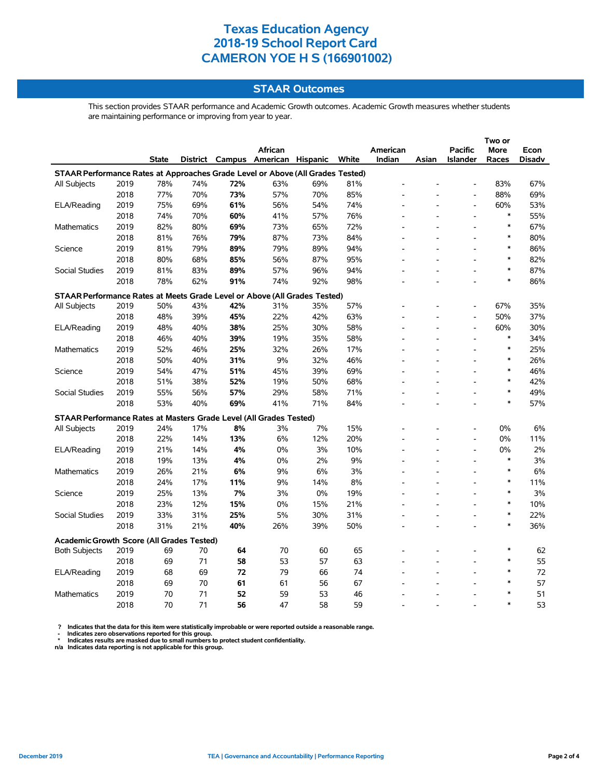## **STAAR Outcomes**

This section provides STAAR performance and Academic Growth outcomes. Academic Growth measures whether students are maintaining performance or improving from year to year.

|                                                                                |      |              |     |     | <b>African</b>                    |     |       | American |       | <b>Pacific</b>           | <b>More</b> | Econ          |
|--------------------------------------------------------------------------------|------|--------------|-----|-----|-----------------------------------|-----|-------|----------|-------|--------------------------|-------------|---------------|
|                                                                                |      | <b>State</b> |     |     | District Campus American Hispanic |     | White | Indian   | Asian | <b>Islander</b>          | Races       | <b>Disadv</b> |
| STAAR Performance Rates at Approaches Grade Level or Above (All Grades Tested) |      |              |     |     |                                   |     |       |          |       |                          |             |               |
| <b>All Subjects</b>                                                            | 2019 | 78%          | 74% | 72% | 63%                               | 69% | 81%   |          |       |                          | 83%         | 67%           |
|                                                                                | 2018 | 77%          | 70% | 73% | 57%                               | 70% | 85%   |          |       |                          | 88%         | 69%           |
| ELA/Reading                                                                    | 2019 | 75%          | 69% | 61% | 56%                               | 54% | 74%   |          |       | $\overline{a}$           | 60%         | 53%           |
|                                                                                | 2018 | 74%          | 70% | 60% | 41%                               | 57% | 76%   |          |       | $\overline{\phantom{a}}$ | $\ast$      | 55%           |
| Mathematics                                                                    | 2019 | 82%          | 80% | 69% | 73%                               | 65% | 72%   |          |       | $\overline{\phantom{a}}$ | $\ast$      | 67%           |
|                                                                                | 2018 | 81%          | 76% | 79% | 87%                               | 73% | 84%   |          |       | $\overline{\phantom{a}}$ | $\ast$      | 80%           |
| Science                                                                        | 2019 | 81%          | 79% | 89% | 79%                               | 89% | 94%   |          |       |                          | $\ast$      | 86%           |
|                                                                                | 2018 | 80%          | 68% | 85% | 56%                               | 87% | 95%   |          |       | $\overline{a}$           | $\ast$      | 82%           |
| Social Studies                                                                 | 2019 | 81%          | 83% | 89% | 57%                               | 96% | 94%   |          |       |                          | $\ast$      | 87%           |
|                                                                                | 2018 | 78%          | 62% | 91% | 74%                               | 92% | 98%   |          |       |                          | $\ast$      | 86%           |
| STAAR Performance Rates at Meets Grade Level or Above (All Grades Tested)      |      |              |     |     |                                   |     |       |          |       |                          |             |               |
| All Subjects                                                                   | 2019 | 50%          | 43% | 42% | 31%                               | 35% | 57%   |          |       | $\overline{\phantom{a}}$ | 67%         | 35%           |
|                                                                                | 2018 | 48%          | 39% | 45% | 22%                               | 42% | 63%   |          |       | $\overline{\phantom{a}}$ | 50%         | 37%           |
| ELA/Reading                                                                    | 2019 | 48%          | 40% | 38% | 25%                               | 30% | 58%   |          |       | $\overline{\phantom{a}}$ | 60%         | 30%           |
|                                                                                | 2018 | 46%          | 40% | 39% | 19%                               | 35% | 58%   |          |       | $\overline{\phantom{a}}$ | $\ast$      | 34%           |
| Mathematics                                                                    | 2019 | 52%          | 46% | 25% | 32%                               | 26% | 17%   |          |       |                          | $\ast$      | 25%           |
|                                                                                | 2018 | 50%          | 40% | 31% | 9%                                | 32% | 46%   |          |       |                          | $\ast$      | 26%           |
| Science                                                                        | 2019 | 54%          | 47% | 51% | 45%                               | 39% | 69%   |          |       |                          | $\ast$      | 46%           |
|                                                                                | 2018 | 51%          | 38% | 52% | 19%                               | 50% | 68%   |          |       |                          | $\ast$      | 42%           |
| <b>Social Studies</b>                                                          | 2019 | 55%          | 56% | 57% | 29%                               | 58% | 71%   |          |       | $\overline{\phantom{a}}$ | $\ast$      | 49%           |
|                                                                                | 2018 | 53%          | 40% | 69% | 41%                               | 71% | 84%   |          |       | ÷.                       | $\ast$      | 57%           |
| STAAR Performance Rates at Masters Grade Level (All Grades Tested)             |      |              |     |     |                                   |     |       |          |       |                          |             |               |
| All Subjects                                                                   | 2019 | 24%          | 17% | 8%  | 3%                                | 7%  | 15%   |          |       |                          | 0%          | 6%            |
|                                                                                | 2018 | 22%          | 14% | 13% | 6%                                | 12% | 20%   |          |       | $\overline{a}$           | 0%          | 11%           |
| ELA/Reading                                                                    | 2019 | 21%          | 14% | 4%  | 0%                                | 3%  | 10%   |          |       | $\overline{a}$           | 0%          | 2%            |
|                                                                                | 2018 | 19%          | 13% | 4%  | 0%                                | 2%  | 9%    |          |       | $\overline{\phantom{a}}$ | $\ast$      | 3%            |
| Mathematics                                                                    | 2019 | 26%          | 21% | 6%  | 9%                                | 6%  | 3%    |          |       | $\overline{\phantom{a}}$ | $\ast$      | 6%            |
|                                                                                | 2018 | 24%          | 17% | 11% | 9%                                | 14% | 8%    |          |       | $\overline{a}$           | $\ast$      | 11%           |
| Science                                                                        | 2019 | 25%          | 13% | 7%  | 3%                                | 0%  | 19%   |          |       | $\overline{a}$           | $\ast$      | 3%            |
|                                                                                | 2018 | 23%          | 12% | 15% | 0%                                | 15% | 21%   |          |       |                          | $\ast$      | 10%           |
| <b>Social Studies</b>                                                          | 2019 | 33%          | 31% | 25% | 5%                                | 30% | 31%   |          |       | L,                       | $\ast$      | 22%           |
|                                                                                | 2018 | 31%          | 21% | 40% | 26%                               | 39% | 50%   |          |       | $\overline{a}$           | $\ast$      | 36%           |
| Academic Growth Score (All Grades Tested)                                      |      |              |     |     |                                   |     |       |          |       |                          |             |               |
| <b>Both Subjects</b>                                                           | 2019 | 69           | 70  | 64  | 70                                | 60  | 65    |          |       |                          | $\ast$      | 62            |
|                                                                                | 2018 | 69           | 71  | 58  | 53                                | 57  | 63    |          |       |                          | $\ast$      | 55            |
| ELA/Reading                                                                    | 2019 | 68           | 69  | 72  | 79                                | 66  | 74    |          |       |                          | $\ast$      | 72            |
|                                                                                | 2018 | 69           | 70  | 61  | 61                                | 56  | 67    |          |       |                          | $\ast$      | 57            |
| Mathematics                                                                    | 2019 | 70           | 71  | 52  | 59                                | 53  | 46    |          |       |                          | $\ast$      | 51            |
|                                                                                | 2018 | 70           | 71  | 56  | 47                                | 58  | 59    |          |       |                          | $\ast$      | 53            |

? Indicates that the data for this item were statistically improbable or were reported outside a reasonable range.<br>- Indicates zero observations reported for this group.<br>\* Indicates results are masked due to small numbers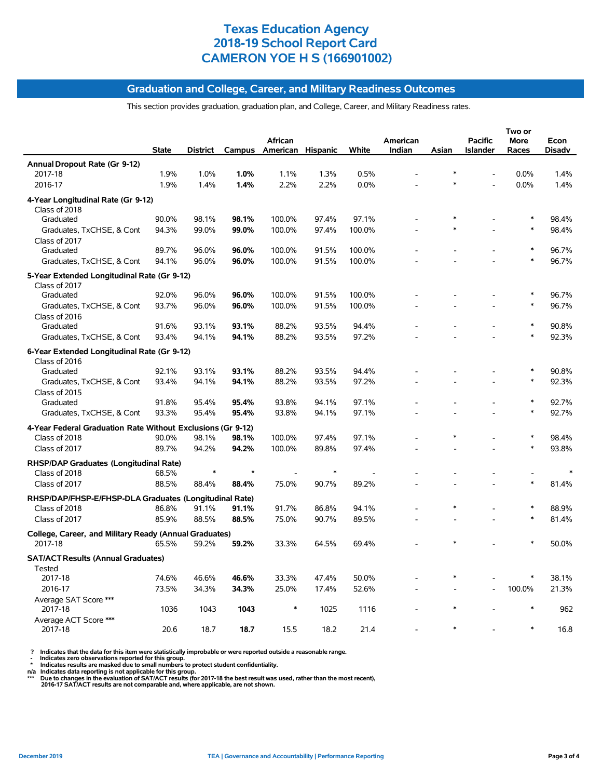#### **Graduation and College, Career, and Military Readiness Outcomes**

This section provides graduation, graduation plan, and College, Career, and Military Readiness rates.

|                                                                   | <b>State</b> | District | Campus  | African<br>American Hispanic |        | White  | American<br>Indian | Asian  | <b>Pacific</b><br><b>Islander</b> | Two or<br>More<br>Races | Econ<br><b>Disadv</b> |
|-------------------------------------------------------------------|--------------|----------|---------|------------------------------|--------|--------|--------------------|--------|-----------------------------------|-------------------------|-----------------------|
| Annual Dropout Rate (Gr 9-12)                                     |              |          |         |                              |        |        |                    |        |                                   |                         |                       |
| 2017-18                                                           | 1.9%         | 1.0%     | 1.0%    | 1.1%                         | 1.3%   | 0.5%   |                    | $\ast$ |                                   | 0.0%                    | 1.4%                  |
| 2016-17                                                           | 1.9%         | 1.4%     | 1.4%    | 2.2%                         | 2.2%   | 0.0%   |                    |        |                                   | 0.0%                    | 1.4%                  |
| 4-Year Longitudinal Rate (Gr 9-12)<br>Class of 2018               |              |          |         |                              |        |        |                    |        |                                   |                         |                       |
| Graduated                                                         | 90.0%        | 98.1%    | 98.1%   | 100.0%                       | 97.4%  | 97.1%  |                    |        |                                   | $\ast$                  | 98.4%                 |
| Graduates, TxCHSE, & Cont<br>Class of 2017                        | 94.3%        | 99.0%    | 99.0%   | 100.0%                       | 97.4%  | 100.0% |                    |        |                                   | $\ast$                  | 98.4%                 |
| Graduated                                                         | 89.7%        | 96.0%    | 96.0%   | 100.0%                       | 91.5%  | 100.0% |                    |        |                                   |                         | 96.7%                 |
| Graduates, TxCHSE, & Cont                                         | 94.1%        | 96.0%    | 96.0%   | 100.0%                       | 91.5%  | 100.0% |                    |        |                                   | $\ast$                  | 96.7%                 |
| 5-Year Extended Longitudinal Rate (Gr 9-12)<br>Class of 2017      |              |          |         |                              |        |        |                    |        |                                   |                         |                       |
| Graduated                                                         | 92.0%        | 96.0%    | 96.0%   | 100.0%                       | 91.5%  | 100.0% |                    |        |                                   | $\ast$                  | 96.7%                 |
| Graduates, TxCHSE, & Cont<br>Class of 2016                        | 93.7%        | 96.0%    | 96.0%   | 100.0%                       | 91.5%  | 100.0% |                    |        |                                   | $\ast$                  | 96.7%                 |
| Graduated                                                         | 91.6%        | 93.1%    | 93.1%   | 88.2%                        | 93.5%  | 94.4%  |                    |        |                                   | $\ast$                  | 90.8%                 |
| Graduates, TxCHSE, & Cont                                         | 93.4%        | 94.1%    | 94.1%   | 88.2%                        | 93.5%  | 97.2%  |                    |        |                                   | $\ast$                  | 92.3%                 |
| 6-Year Extended Longitudinal Rate (Gr 9-12)<br>Class of 2016      |              |          |         |                              |        |        |                    |        |                                   |                         |                       |
| Graduated                                                         | 92.1%        | 93.1%    | 93.1%   | 88.2%                        | 93.5%  | 94.4%  |                    |        |                                   | ∗                       | 90.8%                 |
| Graduates, TxCHSE, & Cont<br>Class of 2015                        | 93.4%        | 94.1%    | 94.1%   | 88.2%                        | 93.5%  | 97.2%  |                    |        |                                   | $\ast$                  | 92.3%                 |
| Graduated                                                         | 91.8%        | 95.4%    | 95.4%   | 93.8%                        | 94.1%  | 97.1%  |                    |        | $\overline{\phantom{a}}$          | $\ast$                  | 92.7%                 |
| Graduates, TxCHSE, & Cont                                         | 93.3%        | 95.4%    | 95.4%   | 93.8%                        | 94.1%  | 97.1%  |                    |        |                                   | $\ast$                  | 92.7%                 |
| 4-Year Federal Graduation Rate Without Exclusions (Gr 9-12)       |              |          |         |                              |        |        |                    |        |                                   |                         |                       |
| Class of 2018                                                     | 90.0%        | 98.1%    | 98.1%   | 100.0%                       | 97.4%  | 97.1%  |                    |        |                                   | $\ast$                  | 98.4%                 |
| Class of 2017                                                     | 89.7%        | 94.2%    | 94.2%   | 100.0%                       | 89.8%  | 97.4%  |                    |        |                                   | $\ast$                  | 93.8%                 |
| <b>RHSP/DAP Graduates (Longitudinal Rate)</b><br>Class of 2018    | 68.5%        | $\ast$   | $\star$ |                              | $\ast$ |        |                    |        |                                   |                         | $\ast$                |
| Class of 2017                                                     | 88.5%        | 88.4%    | 88.4%   | 75.0%                        | 90.7%  | 89.2%  |                    |        |                                   | $\ast$                  | 81.4%                 |
|                                                                   |              |          |         |                              |        |        |                    |        |                                   |                         |                       |
| RHSP/DAP/FHSP-E/FHSP-DLA Graduates (Longitudinal Rate)            |              |          |         |                              |        |        |                    | $\ast$ |                                   | $\ast$                  |                       |
| Class of 2018                                                     | 86.8%        | 91.1%    | 91.1%   | 91.7%                        | 86.8%  | 94.1%  |                    |        |                                   | $\ast$                  | 88.9%                 |
| Class of 2017                                                     | 85.9%        | 88.5%    | 88.5%   | 75.0%                        | 90.7%  | 89.5%  |                    |        |                                   |                         | 81.4%                 |
| College, Career, and Military Ready (Annual Graduates)<br>2017-18 | 65.5%        | 59.2%    | 59.2%   | 33.3%                        | 64.5%  | 69.4%  |                    |        |                                   | $\ast$                  | 50.0%                 |
| <b>SAT/ACT Results (Annual Graduates)</b><br>Tested               |              |          |         |                              |        |        |                    |        |                                   |                         |                       |
| 2017-18                                                           | 74.6%        | 46.6%    | 46.6%   | 33.3%                        | 47.4%  | 50.0%  |                    |        |                                   | $\ast$                  | 38.1%                 |
| 2016-17                                                           | 73.5%        | 34.3%    | 34.3%   | 25.0%                        | 17.4%  | 52.6%  |                    |        |                                   | 100.0%                  | 21.3%                 |
| Average SAT Score ***<br>2017-18                                  | 1036         | 1043     | 1043    | $\ast$                       | 1025   | 1116   |                    |        |                                   | $\ast$                  | 962                   |
| Average ACT Score ***<br>2017-18                                  | 20.6         | 18.7     | 18.7    | 15.5                         | 18.2   | 21.4   |                    |        |                                   | $\ast$                  | 16.8                  |

? Indicates that the data for this item were statistically improbable or were reported outside a reasonable range.<br>- Indicates zero observations reported for this group.<br>- Indicates are masked due to small numbers to prote